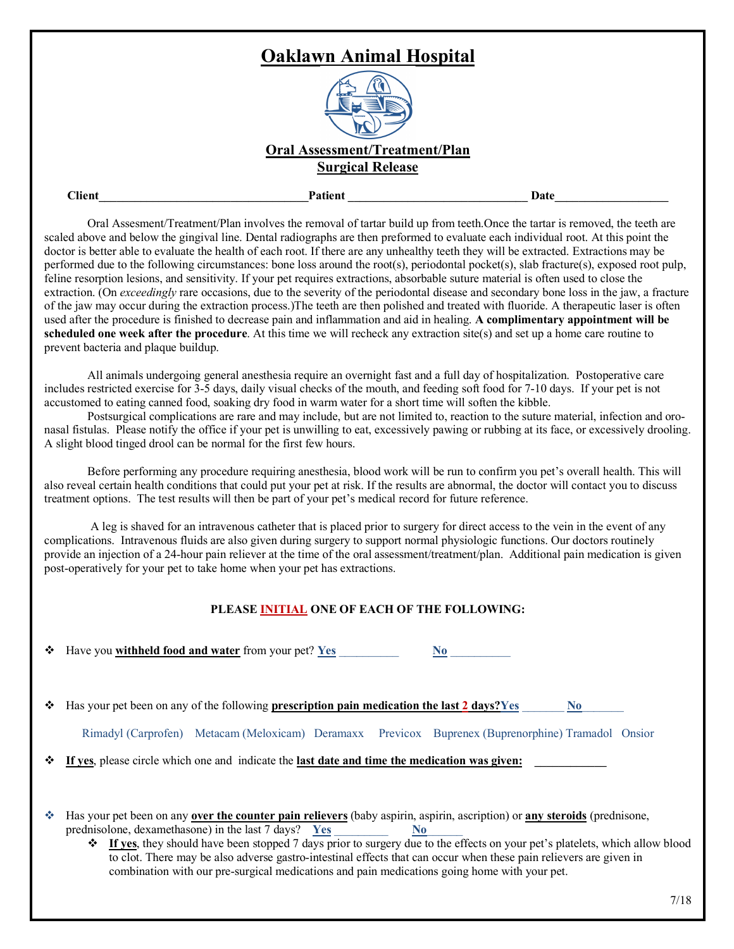## **Oaklawn Animal Hospital Oral Assessment/Treatment/Plan Surgical Release Client\_\_\_\_\_\_\_\_\_\_\_\_\_\_\_\_\_\_\_\_\_\_\_\_\_\_\_\_\_\_\_\_\_\_\_Patient \_\_\_\_\_\_\_\_\_\_\_\_\_\_\_\_\_\_\_\_\_\_\_\_\_\_\_\_\_\_ Date\_\_\_\_\_\_\_\_\_\_\_\_\_\_\_\_\_\_\_**

Oral Assesment/Treatment/Plan involves the removal of tartar build up from teeth.Once the tartar is removed, the teeth are scaled above and below the gingival line. Dental radiographs are then preformed to evaluate each individual root. At this point the doctor is better able to evaluate the health of each root. If there are any unhealthy teeth they will be extracted. Extractions may be performed due to the following circumstances: bone loss around the root(s), periodontal pocket(s), slab fracture(s), exposed root pulp, feline resorption lesions, and sensitivity. If your pet requires extractions, absorbable suture material is often used to close the extraction. (On *exceedingly* rare occasions, due to the severity of the periodontal disease and secondary bone loss in the jaw, a fracture of the jaw may occur during the extraction process.)The teeth are then polished and treated with fluoride. A therapeutic laser is often used after the procedure is finished to decrease pain and inflammation and aid in healing. **A complimentary appointment will be scheduled one week after the procedure**. At this time we will recheck any extraction site(s) and set up a home care routine to prevent bacteria and plaque buildup.

All animals undergoing general anesthesia require an overnight fast and a full day of hospitalization. Postoperative care includes restricted exercise for 3-5 days, daily visual checks of the mouth, and feeding soft food for 7-10 days. If your pet is not accustomed to eating canned food, soaking dry food in warm water for a short time will soften the kibble.

Postsurgical complications are rare and may include, but are not limited to, reaction to the suture material, infection and oronasal fistulas. Please notify the office if your pet is unwilling to eat, excessively pawing or rubbing at its face, or excessively drooling. A slight blood tinged drool can be normal for the first few hours.

Before performing any procedure requiring anesthesia, blood work will be run to confirm you pet's overall health. This will also reveal certain health conditions that could put your pet at risk. If the results are abnormal, the doctor will contact you to discuss treatment options. The test results will then be part of your pet's medical record for future reference.

A leg is shaved for an intravenous catheter that is placed prior to surgery for direct access to the vein in the event of any complications. Intravenous fluids are also given during surgery to support normal physiologic functions. Our doctors routinely provide an injection of a 24-hour pain reliever at the time of the oral assessment/treatment/plan. Additional pain medication is given post-operatively for your pet to take home when your pet has extractions.

## **PLEASE INITIAL ONE OF EACH OF THE FOLLOWING:**

Have you **withheld food and <u>water</u>** from your pet? <u>Yes</u> \_\_\_\_\_\_\_\_\_\_\_\_\_ No

v Has your pet been on any of the following **prescription pain medication the last 2 days?Yes** \_\_\_\_\_\_\_ **No**\_\_\_\_\_\_\_

|  |  | Rimadyl (Carprofen) Metacam (Meloxicam) Deramaxx Previcox Buprenex (Buprenorphine) Tramadol Onsior |  |  |  |  |  |
|--|--|----------------------------------------------------------------------------------------------------|--|--|--|--|--|
|  |  |                                                                                                    |  |  |  |  |  |

If yes, please circle which one and indicate the **last date and time the medication was given:** 

- v Has your pet been on any **over the counter pain relievers** (baby aspirin, aspirin, ascription) or **any steroids** (prednisone, prednisolone, dexamethasone) in the last 7 days? **Yes** \_\_\_\_\_\_\_\_\_ **No**\_\_\_\_\_\_
	- v **If yes**, they should have been stopped 7 days prior to surgery due to the effects on your pet's platelets, which allow blood to clot. There may be also adverse gastro-intestinal effects that can occur when these pain relievers are given in combination with our pre-surgical medications and pain medications going home with your pet.